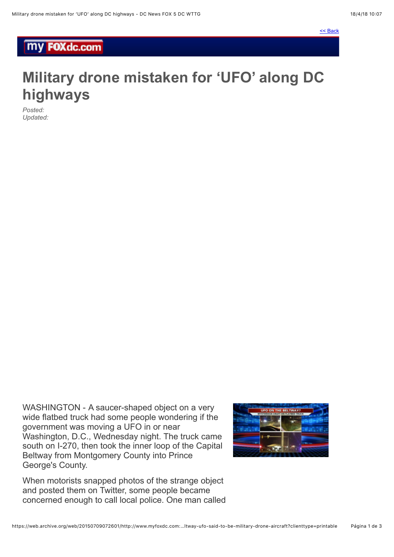## **my FOXdc.com**

## **Military drone mistaken for 'UFO' along DC highways**

*Posted: Updated:*

WASHINGTON - A saucer-shaped object on a very wide flatbed truck had some people wondering if the government was moving a UFO in or near Washington, D.C., Wednesday night. The truck came south on I-270, then took the inner loop of the Capital Beltway from Montgomery County into Prince George's County.



When motorists snapped photos of the strange object and posted them on Twitter, some people became concerned enough to call local police. One man called